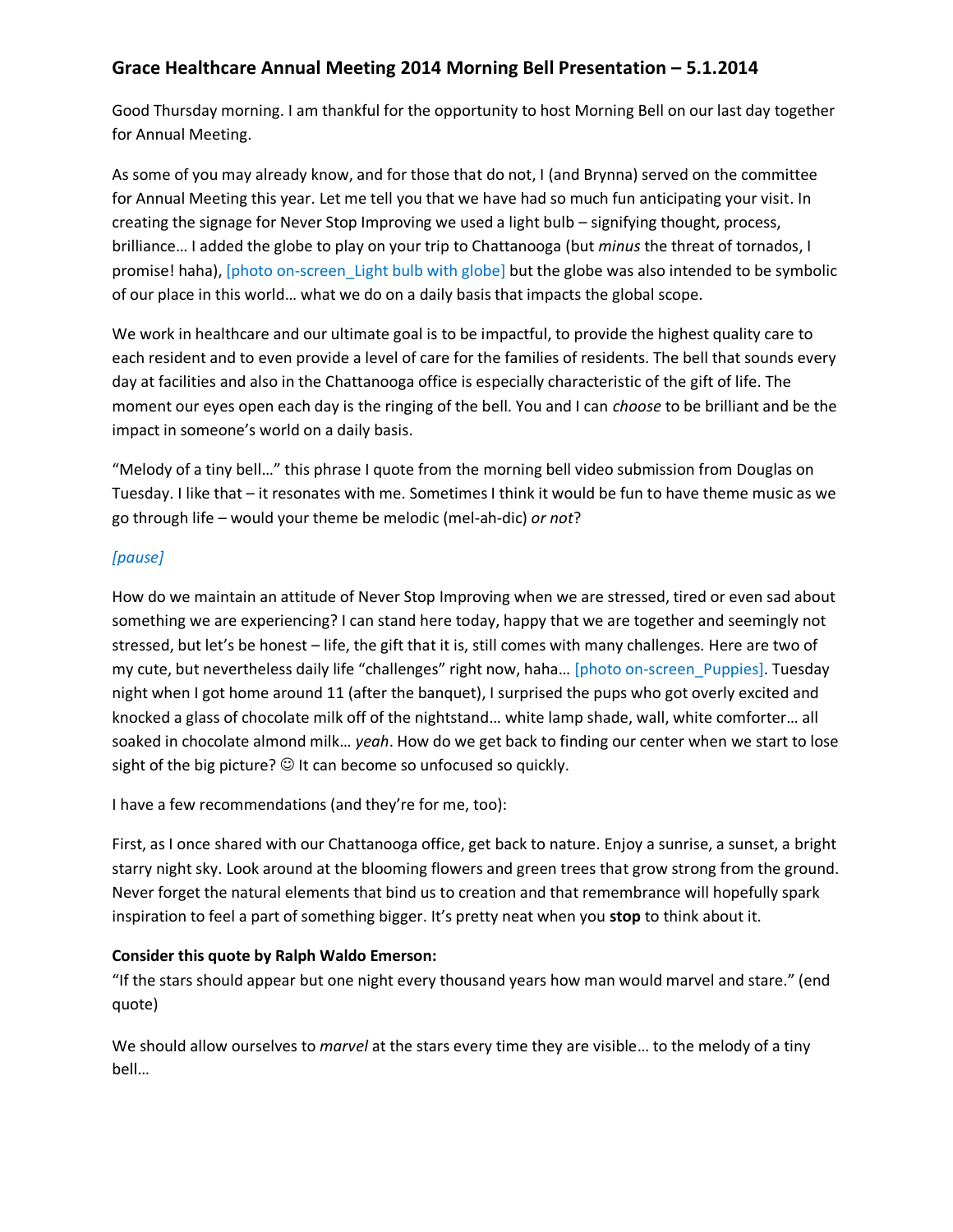# **Grace Healthcare Annual Meeting 2014 Morning Bell Presentation – 5.1.2014**

Good Thursday morning. I am thankful for the opportunity to host Morning Bell on our last day together for Annual Meeting.

As some of you may already know, and for those that do not, I (and Brynna) served on the committee for Annual Meeting this year. Let me tell you that we have had so much fun anticipating your visit. In creating the signage for Never Stop Improving we used a light bulb – signifying thought, process, brilliance… I added the globe to play on your trip to Chattanooga (but *minus* the threat of tornados, I promise! haha), [photo on-screen\_Light bulb with globe] but the globe was also intended to be symbolic of our place in this world… what we do on a daily basis that impacts the global scope.

We work in healthcare and our ultimate goal is to be impactful, to provide the highest quality care to each resident and to even provide a level of care for the families of residents. The bell that sounds every day at facilities and also in the Chattanooga office is especially characteristic of the gift of life. The moment our eyes open each day is the ringing of the bell. You and I can *choose* to be brilliant and be the impact in someone's world on a daily basis.

"Melody of a tiny bell…" this phrase I quote from the morning bell video submission from Douglas on Tuesday. I like that – it resonates with me. Sometimes I think it would be fun to have theme music as we go through life – would your theme be melodic (mel-ah-dic) *or not*?

### *[pause]*

How do we maintain an attitude of Never Stop Improving when we are stressed, tired or even sad about something we are experiencing? I can stand here today, happy that we are together and seemingly not stressed, but let's be honest – life, the gift that it is, still comes with many challenges. Here are two of my cute, but nevertheless daily life "challenges" right now, haha… [photo on-screen\_Puppies]. Tuesday night when I got home around 11 (after the banquet), I surprised the pups who got overly excited and knocked a glass of chocolate milk off of the nightstand… white lamp shade, wall, white comforter… all soaked in chocolate almond milk… *yeah*. How do we get back to finding our center when we start to lose sight of the big picture?  $\odot$  It can become so unfocused so quickly.

I have a few recommendations (and they're for me, too):

First, as I once shared with our Chattanooga office, get back to nature. Enjoy a sunrise, a sunset, a bright starry night sky. Look around at the blooming flowers and green trees that grow strong from the ground. Never forget the natural elements that bind us to creation and that remembrance will hopefully spark inspiration to feel a part of something bigger. It's pretty neat when you **stop** to think about it.

### **Consider this quote by Ralph Waldo Emerson:**

"If the stars should appear but one night every thousand years how man would marvel and stare." (end quote)

We should allow ourselves to *marvel* at the stars every time they are visible… to the melody of a tiny bell…